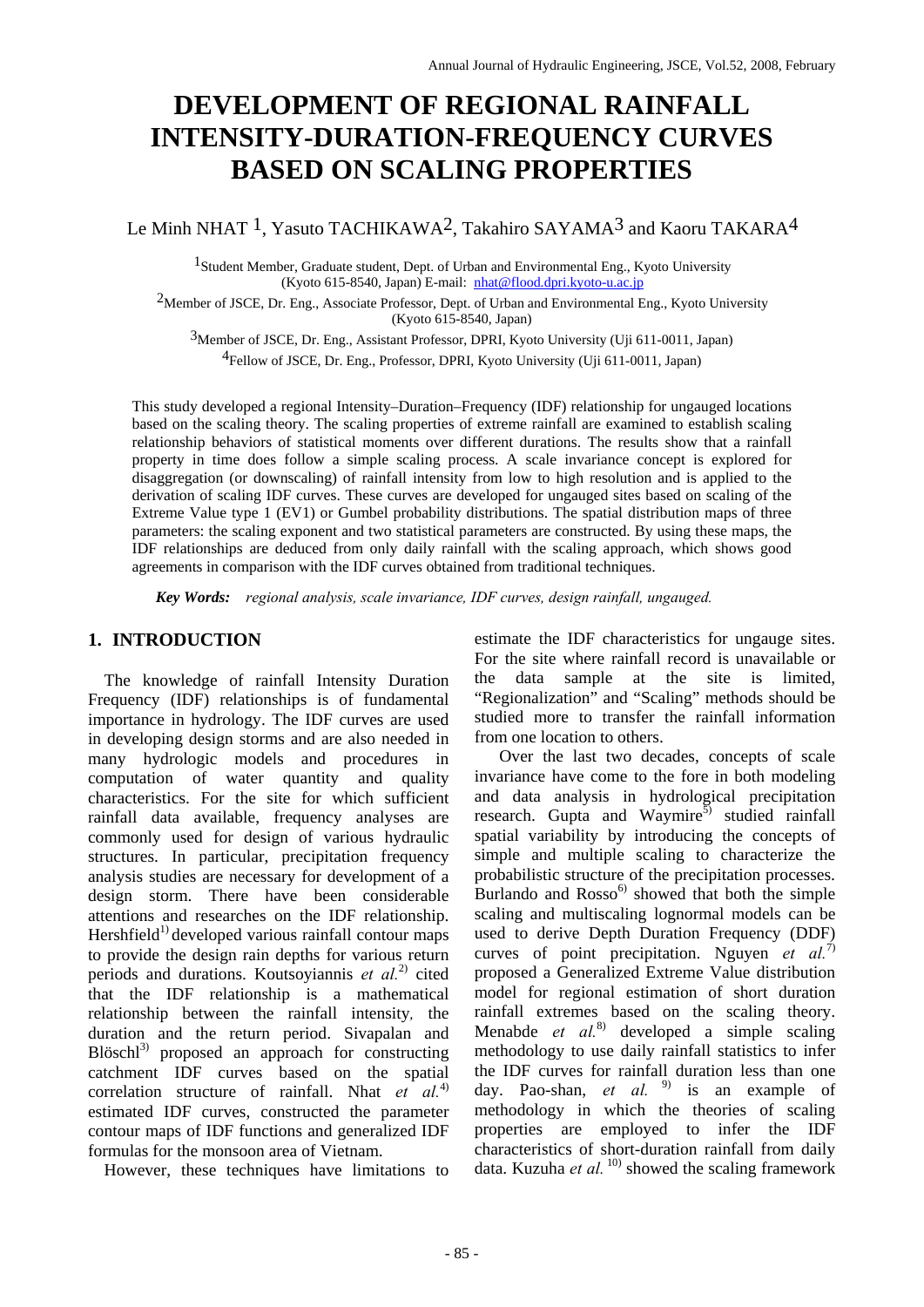# **DEVELOPMENT OF REGIONAL RAINFALL INTENSITY-DURATION-FREQUENCY CURVES BASED ON SCALING PROPERTIES**

Le Minh NHAT <sup>1</sup>, Yasuto TACHIKAWA<sup>2</sup>, Takahiro SAYAMA<sup>3</sup> and Kaoru TAKARA<sup>4</sup>

1Student Member, Graduate student, Dept. of Urban and Environmental Eng., Kyoto University (Kyoto 615-8540, Japan) E-mail: [nhat@flood.dpri.kyoto-u.ac.jp](mailto:nhat@flood.dpri.kyoto-u.ac.jp)

2Member of JSCE, Dr. Eng., Associate Professor, Dept. of Urban and Environmental Eng., Kyoto University (Kyoto 615-8540, Japan)

3Member of JSCE, Dr. Eng., Assistant Professor, DPRI, Kyoto University (Uji 611-0011, Japan) 4Fellow of JSCE, Dr. Eng., Professor, DPRI, Kyoto University (Uji 611-0011, Japan)

This study developed a regional Intensity–Duration–Frequency (IDF) relationship for ungauged locations based on the scaling theory. The scaling properties of extreme rainfall are examined to establish scaling relationship behaviors of statistical moments over different durations. The results show that a rainfall property in time does follow a simple scaling process. A scale invariance concept is explored for disaggregation (or downscaling) of rainfall intensity from low to high resolution and is applied to the derivation of scaling IDF curves. These curves are developed for ungauged sites based on scaling of the Extreme Value type 1 (EV1) or Gumbel probability distributions. The spatial distribution maps of three parameters: the scaling exponent and two statistical parameters are constructed. By using these maps, the IDF relationships are deduced from only daily rainfall with the scaling approach, which shows good agreements in comparison with the IDF curves obtained from traditional techniques.

 *Key Words: regional analysis, scale invariance, IDF curves, design rainfall, ungauged.*

## **1. INTRODUCTION**

The knowledge of rainfall Intensity Duration Frequency (IDF) relationships is of fundamental importance in hydrology. The IDF curves are used in developing design storms and are also needed in many hydrologic models and procedures in computation of water quantity and quality characteristics. For the site for which sufficient rainfall data available, frequency analyses are commonly used for design of various hydraulic structures. In particular, precipitation frequency analysis studies are necessary for development of a design storm. There have been considerable attentions and researches on the IDF relationship.  $Hershfield<sup>1</sup>$  developed various rainfall contour maps to provide the design rain depths for various return periods and durations. Koutsoyiannis *et al.*2) cited that the IDF relationship is a mathematical relationship between the rainfall intensity*,* the duration and the return period. Sivapalan and  $B$ löschl $3$ ) proposed an approach for constructing catchment IDF curves based on the spatial correlation structure of rainfall. Nhat *et al.*4) estimated IDF curves, constructed the parameter contour maps of IDF functions and generalized IDF formulas for the monsoon area of Vietnam.

However, these techniques have limitations to

estimate the IDF characteristics for ungauge sites. For the site where rainfall record is unavailable or the data sample at the site is limited, "Regionalization" and "Scaling" methods should be studied more to transfer the rainfall information from one location to others.

 Over the last two decades, concepts of scale invariance have come to the fore in both modeling and data analysis in hydrological precipitation research. Gupta and Waymire<sup>5)</sup> studied rainfall spatial variability by introducing the concepts of simple and multiple scaling to characterize the probabilistic structure of the precipitation processes. Burlando and  $Rosso<sup>6</sup>$  showed that both the simple scaling and multiscaling lognormal models can be used to derive Depth Duration Frequency (DDF) curves of point precipitation. Nguyen *et al.*7) proposed a Generalized Extreme Value distribution model for regional estimation of short duration rainfall extremes based on the scaling theory. Menabde *et al.*8) developed a simple scaling methodology to use daily rainfall statistics to infer the IDF curves for rainfall duration less than one day. Pao-shan, *et al.* <sup>9)</sup> is an example of methodology in which the theories of scaling properties are employed to infer the IDF characteristics of short-duration rainfall from daily data. Kuzuha *et al.* <sup>10)</sup> showed the scaling framework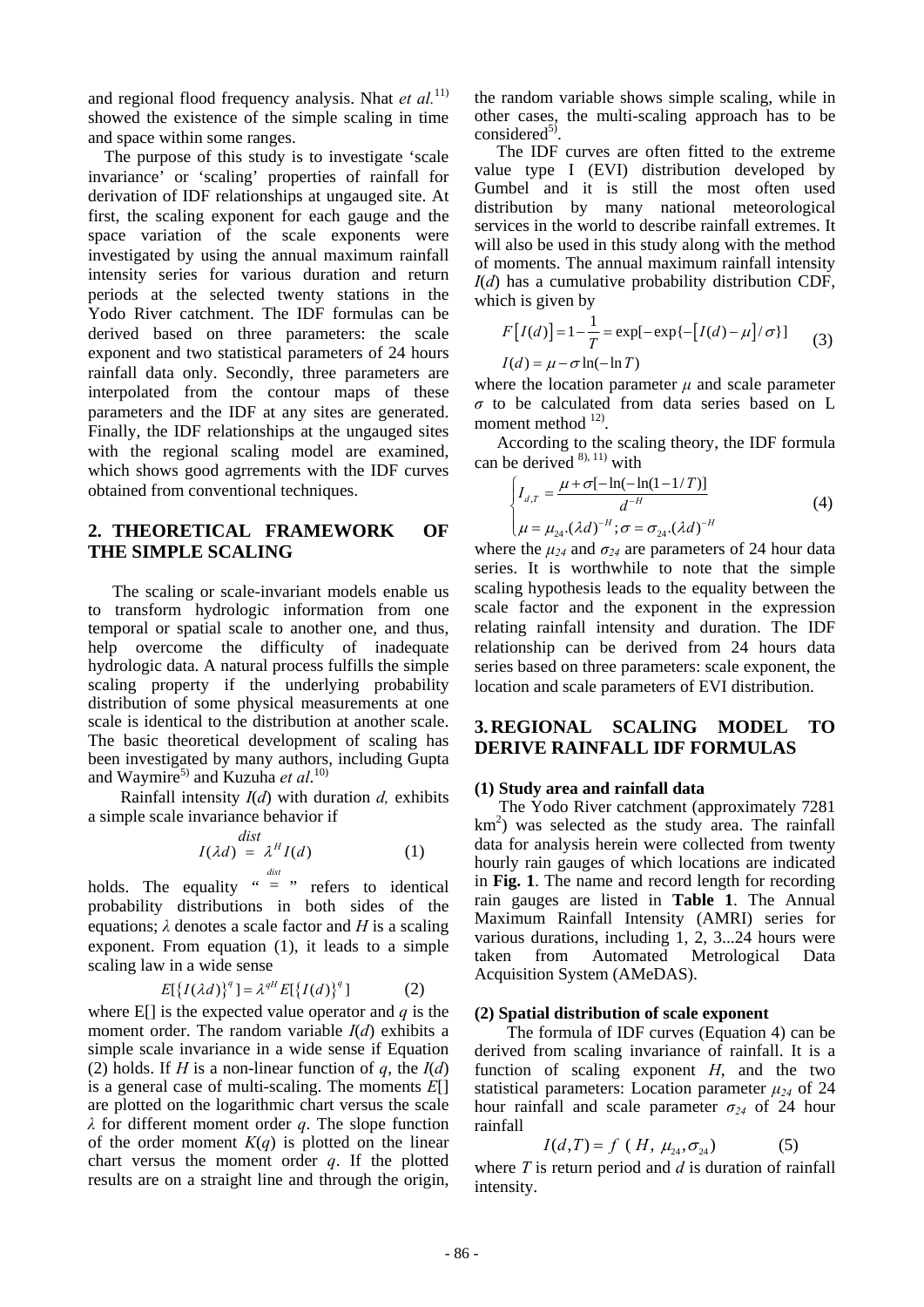and regional flood frequency analysis. Nhat *et al.*<sup>11)</sup> showed the existence of the simple scaling in time and space within some ranges.

The purpose of this study is to investigate 'scale invariance' or 'scaling' properties of rainfall for derivation of IDF relationships at ungauged site. At first, the scaling exponent for each gauge and the space variation of the scale exponents were investigated by using the annual maximum rainfall intensity series for various duration and return periods at the selected twenty stations in the Yodo River catchment. The IDF formulas can be derived based on three parameters: the scale exponent and two statistical parameters of 24 hours rainfall data only. Secondly, three parameters are interpolated from the contour maps of these parameters and the IDF at any sites are generated. Finally, the IDF relationships at the ungauged sites with the regional scaling model are examined, which shows good agrrements with the IDF curves obtained from conventional techniques.

## **2. THEORETICAL FRAMEWORK OF THE SIMPLE SCALING**

 The scaling or scale-invariant models enable us to transform hydrologic information from one temporal or spatial scale to another one, and thus, help overcome the difficulty of inadequate hydrologic data. A natural process fulfills the simple scaling property if the underlying probability distribution of some physical measurements at one scale is identical to the distribution at another scale. The basic theoretical development of scaling has been investigated by many authors, including Gupta and Waymire<sup>5)</sup> and Kuzuha et al.<sup>10)</sup>

Rainfall intensity *I*(*d*) with duration *d,* exhibits a simple scale invariance behavior if

$$
I(\lambda d) = \lambda^H I(d)
$$
 (1)

holds. The equality  $u = v$  refers to identical probability distributions in both sides of the equations; *λ* denotes a scale factor and *H* is a scaling exponent. From equation (1), it leads to a simple scaling law in a wide sense

$$
E[{I(\lambda d)}^q] = \lambda^{qH} E[{I(d)}^q]
$$
 (2)

where  $E[i]$  is the expected value operator and  $q$  is the moment order. The random variable *I*(*d*) exhibits a simple scale invariance in a wide sense if Equation (2) holds. If *H* is a non-linear function of *q*, the  $I(d)$ is a general case of multi-scaling. The moments *E*[] are plotted on the logarithmic chart versus the scale *λ* for different moment order *q*. The slope function of the order moment  $K(q)$  is plotted on the linear chart versus the moment order *q*. If the plotted results are on a straight line and through the origin, the random variable shows simple scaling, while in other cases, the multi-scaling approach has to be considered<sup>5)</sup>.<br>The IDF curves are often fitted to the extreme

value type I (EVI) distribution developed by Gumbel and it is still the most often used distribution by many national meteorological services in the world to describe rainfall extremes. It will also be used in this study along with the method of moments. The annual maximum rainfall intensity *I*(*d*) has a cumulative probability distribution CDF, which is given by

$$
F[I(d)] = 1 - \frac{1}{T} = \exp[-\exp\{-[I(d) - \mu]/\sigma\}]
$$
  
\n
$$
I(d) = \mu - \sigma \ln(-\ln T)
$$
\n(3)

where the location parameter  $\mu$  and scale parameter *σ* to be calculated from data series based on L moment method <sup>12)</sup>.

According to the scaling theory, the IDF formula can be derived  $^{8}$ , 11) with

$$
\begin{cases}\nI_{d,T} = \frac{\mu + \sigma[-\ln(-\ln(1 - 1/T))]}{d^{-H}} \\
\mu = \mu_{24} \cdot (\lambda d)^{-H}; \sigma = \sigma_{24} \cdot (\lambda d)^{-H}\n\end{cases} (4)
$$

where the  $\mu_{24}$  and  $\sigma_{24}$  are parameters of 24 hour data series. It is worthwhile to note that the simple scaling hypothesis leads to the equality between the scale factor and the exponent in the expression relating rainfall intensity and duration. The IDF relationship can be derived from 24 hours data series based on three parameters: scale exponent, the location and scale parameters of EVI distribution.

## **3.REGIONAL SCALING MODEL TO DERIVE RAINFALL IDF FORMULAS**

#### **(1) Study area and rainfall data**

The Yodo River catchment (approximately 7281 km<sup>2</sup>) was selected as the study area. The rainfall data for analysis herein were collected from twenty hourly rain gauges of which locations are indicated in **Fig. 1**. The name and record length for recording rain gauges are listed in **Table 1**. The Annual Maximum Rainfall Intensity (AMRI) series for various durations, including 1, 2, 3...24 hours were taken from Automated Metrological Data Acquisition System (AMeDAS).

#### **(2) Spatial distribution of scale exponent**

The formula of IDF curves (Equation 4) can be derived from scaling invariance of rainfall. It is a function of scaling exponent *H*, and the two statistical parameters: Location parameter  $\mu_{24}$  of 24 hour rainfall and scale parameter  $\sigma_{24}$  of 24 hour rainfall

$$
I(d,T) = f(H, \mu_{24}, \sigma_{24})
$$
 (5)

where *T* is return period and *d* is duration of rainfall intensity.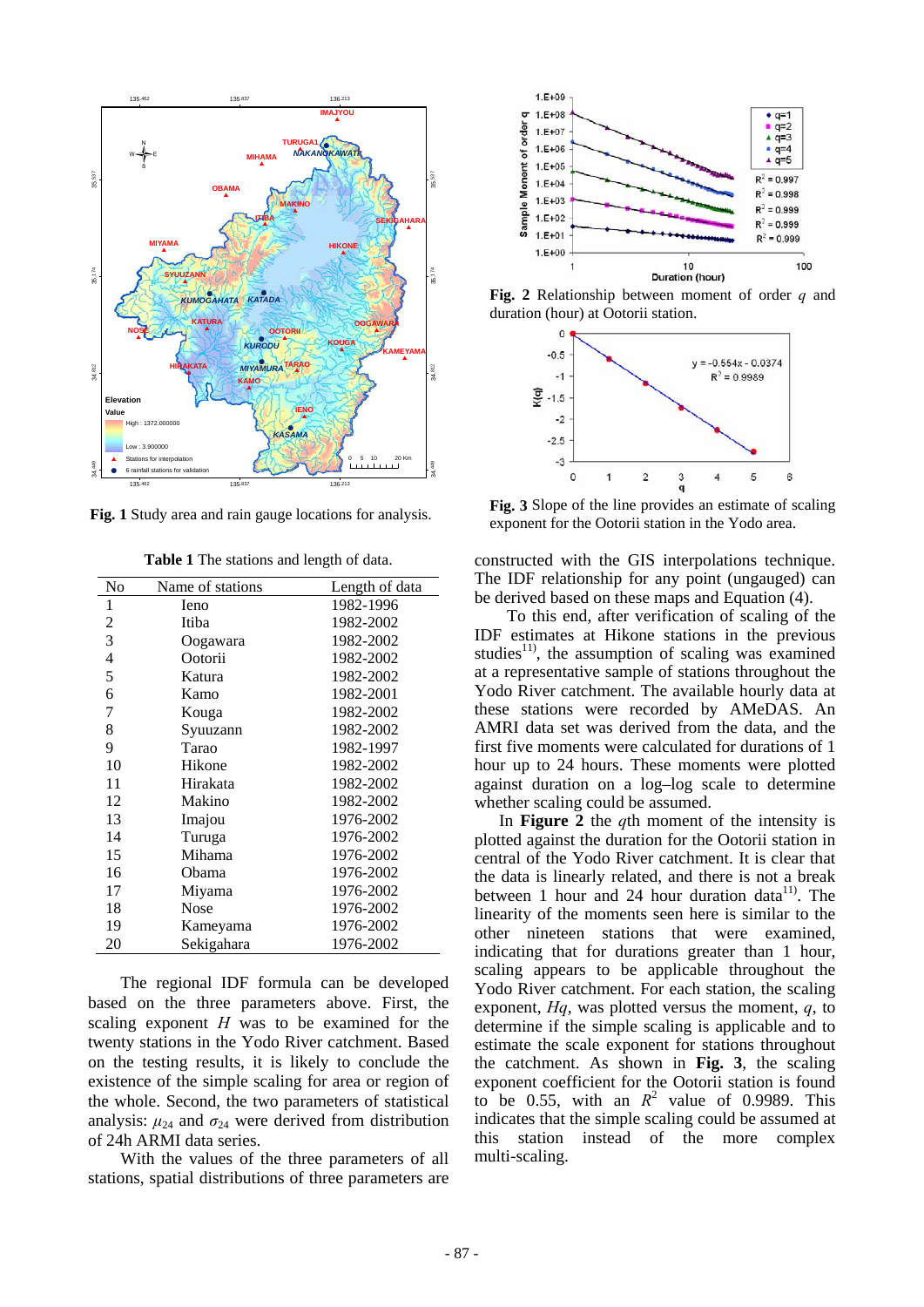

**Fig. 1** Study area and rain gauge locations for analysis.

| No             | Name of stations | Length of data |
|----------------|------------------|----------------|
| 1              | leno             | 1982-1996      |
| $\overline{c}$ | Itiba            | 1982-2002      |
| 3              | Oogawara         | 1982-2002      |
| $\overline{4}$ | Ootorii          | 1982-2002      |
| 5              | Katura           | 1982-2002      |
| 6              | Kamo             | 1982-2001      |
| 7              | Kouga            | 1982-2002      |
| 8              | Syuuzann         | 1982-2002      |
| 9              | Tarao            | 1982-1997      |
| 10             | Hikone           | 1982-2002      |
| 11             | Hirakata         | 1982-2002      |
| 12             | Makino           | 1982-2002      |
| 13             | Imajou           | 1976-2002      |
| 14             | Turuga           | 1976-2002      |
| 15             | Mihama           | 1976-2002      |
| 16             | Obama            | 1976-2002      |
| 17             | Miyama           | 1976-2002      |
| 18             | <b>Nose</b>      | 1976-2002      |
| 19             | Kameyama         | 1976-2002      |
| 20             | Sekigahara       | 1976-2002      |

**Table 1** The stations and length of data.

The regional IDF formula can be developed based on the three parameters above. First, the scaling exponent *H* was to be examined for the twenty stations in the Yodo River catchment. Based on the testing results, it is likely to conclude the existence of the simple scaling for area or region of the whole. Second, the two parameters of statistical analysis:  $\mu_{24}$  and  $\sigma_{24}$  were derived from distribution of 24h ARMI data series.

With the values of the three parameters of all stations, spatial distributions of three parameters are



**Fig. 2** Relationship between moment of order *q* and duration (hour) at Ootorii station.



**Fig. 3** Slope of the line provides an estimate of scaling exponent for the Ootorii station in the Yodo area.

constructed with the GIS interpolations technique. The IDF relationship for any point (ungauged) can be derived based on these maps and Equation (4).

To this end, after verification of scaling of the IDF estimates at Hikone stations in the previous studies<sup>11)</sup>, the assumption of scaling was examined at a representative sample of stations throughout the Yodo River catchment. The available hourly data at these stations were recorded by AMeDAS. An AMRI data set was derived from the data, and the first five moments were calculated for durations of 1 hour up to 24 hours. These moments were plotted against duration on a log–log scale to determine whether scaling could be assumed.

In **Figure 2** the *q*th moment of the intensity is plotted against the duration for the Ootorii station in central of the Yodo River catchment. It is clear that the data is linearly related, and there is not a break between 1 hour and 24 hour duration data<sup>11)</sup>. The linearity of the moments seen here is similar to the other nineteen stations that were examined, indicating that for durations greater than 1 hour, scaling appears to be applicable throughout the Yodo River catchment. For each station, the scaling exponent, *Hq*, was plotted versus the moment, *q*, to determine if the simple scaling is applicable and to estimate the scale exponent for stations throughout the catchment. As shown in **Fig. 3**, the scaling exponent coefficient for the Ootorii station is found to be 0.55, with an  $R^2$  value of 0.9989. This indicates that the simple scaling could be assumed at this station instead of the more complex multi-scaling.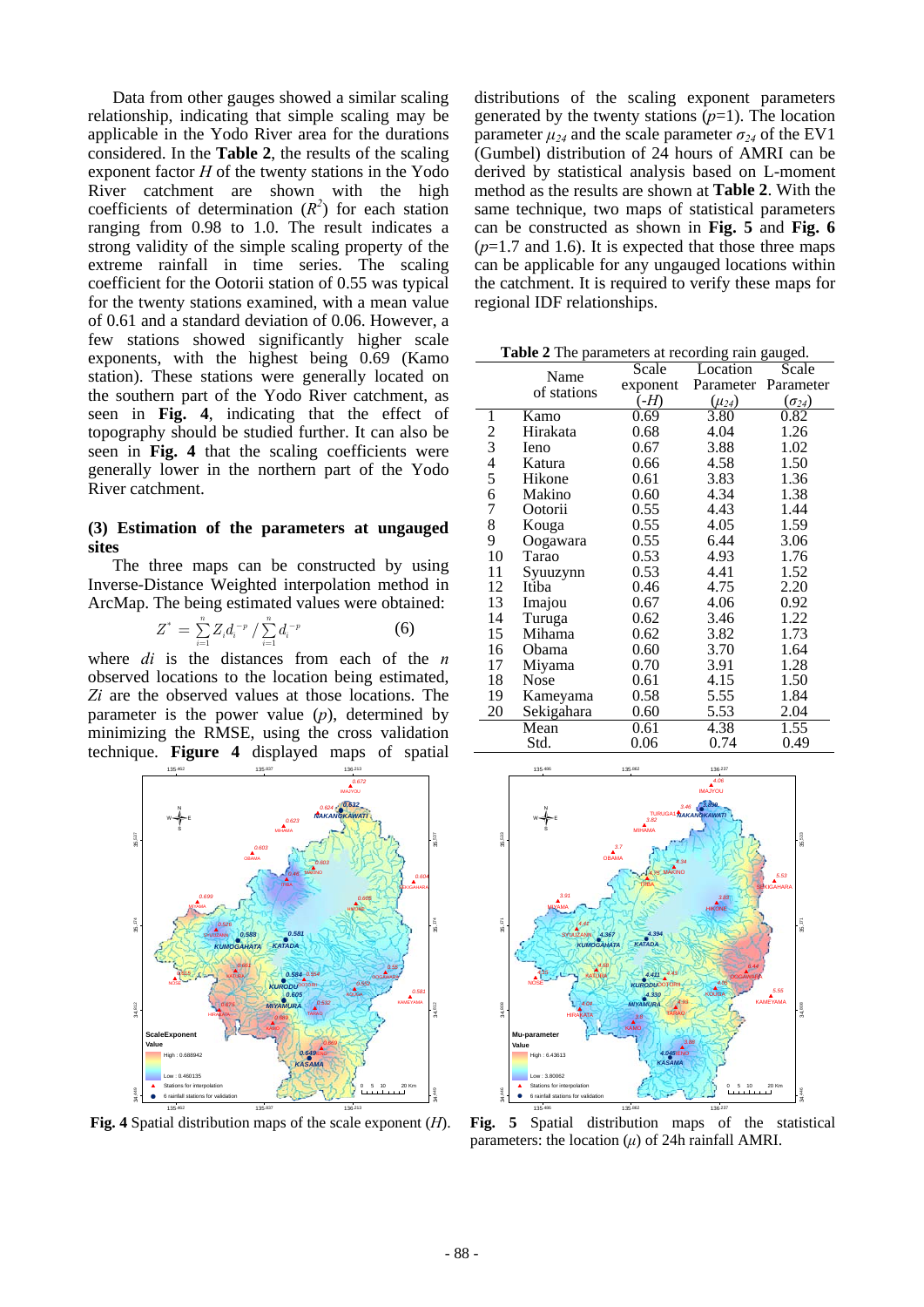Data from other gauges showed a similar scaling relationship, indicating that simple scaling may be applicable in the Yodo River area for the durations considered. In the **Table 2**, the results of the scaling exponent factor *H* of the twenty stations in the Yodo River catchment are shown with the high coefficients of determination  $(R^2)$  for each station ranging from 0.98 to 1.0. The result indicates a strong validity of the simple scaling property of the extreme rainfall in time series. The scaling coefficient for the Ootorii station of 0.55 was typical for the twenty stations examined, with a mean value of 0.61 and a standard deviation of 0.06. However, a few stations showed significantly higher scale exponents, with the highest being 0.69 (Kamo station). These stations were generally located on the southern part of the Yodo River catchment, as seen in **Fig. 4**, indicating that the effect of topography should be studied further. It can also be seen in **Fig. 4** that the scaling coefficients were generally lower in the northern part of the Yodo River catchment.

#### **(3) Estimation of the parameters at ungauged sites**

The three maps can be constructed by using Inverse-Distance Weighted interpolation method in ArcMap. The being estimated values were obtained:

$$
Z^* = \sum_{i=1}^n Z_i d_i^{-p} / \sum_{i=1}^n d_i^{-p}
$$
 (6)

where *di* is the distances from each of the *n* observed locations to the location being estimated, *Zi* are the observed values at those locations. The parameter is the power value (*p*), determined by minimizing the RMSE, using the cross validation technique. **Figure 4** displayed maps of spatial



distributions of the scaling exponent parameters generated by the twenty stations  $(p=1)$ . The location parameter  $\mu_{24}$  and the scale parameter  $\sigma_{24}$  of the EV1 (Gumbel) distribution of 24 hours of AMRI can be derived by statistical analysis based on L-moment method as the results are shown at **Table 2**. With the same technique, two maps of statistical parameters can be constructed as shown in **Fig. 5** and **Fig. 6**   $(p=1.7$  and 1.6). It is expected that those three maps can be applicable for any ungauged locations within the catchment. It is required to verify these maps for regional IDF relationships.

**Table 2** The parameters at recording rain gauged.

|               |                     | Scale    | Location     | Scale           |  |
|---------------|---------------------|----------|--------------|-----------------|--|
|               | Name<br>of stations | exponent | Parameter    | Parameter       |  |
|               |                     | (H)      | $(\mu_{24})$ | $(\sigma_{24})$ |  |
| 1             | Kamo                | 0.69     | 3.80         | 0.82            |  |
| $\frac{2}{3}$ | Hirakata            | 0.68     | 4.04         | 1.26            |  |
|               | Ieno                | 0.67     | 3.88         | 1.02            |  |
| $rac{4}{5}$   | Katura              | 0.66     | 4.58         | 1.50            |  |
|               | Hikone              | 0.61     | 3.83         | 1.36            |  |
| 6             | Makino              | 0.60     | 4.34         | 1.38            |  |
| 7             | Ootorii             | 0.55     | 4.43         | 1.44            |  |
| 8             | Kouga               | 0.55     | 4.05         | 1.59            |  |
| 9             | Oogawara            | 0.55     | 6.44         | 3.06            |  |
| 10            | Tarao               | 0.53     | 4.93         | 1.76            |  |
| 11            | Syuuzynn            | 0.53     | 4.41         | 1.52            |  |
| 12            | Itiba               | 0.46     | 4.75         | 2.20            |  |
| 13            | Imajou              | 0.67     | 4.06         | 0.92            |  |
| 14            | Turuga              | 0.62     | 3.46         | 1.22            |  |
| 15            | Mihama              | 0.62     | 3.82         | 1.73            |  |
| 16            | Obama               | 0.60     | 3.70         | 1.64            |  |
| 17            | Miyama              | 0.70     | 3.91         | 1.28            |  |
| 18            | Nose                | 0.61     | 4.15         | 1.50            |  |
| 19            | Kameyama            | 0.58     | 5.55         | 1.84            |  |
| 20            | Sekigahara          | 0.60     | 5.53         | 2.04            |  |
|               | Mean                | 0.61     | 4.38         | 1.55            |  |
|               | Std.                | 0.06     | 0.74         | 0.49            |  |



 **Fig. 4** Spatial distribution maps of the scale exponent (*H*). **Fig. 5** Spatial distribution maps of the statistical parameters: the location  $(\mu)$  of 24h rainfall AMRI.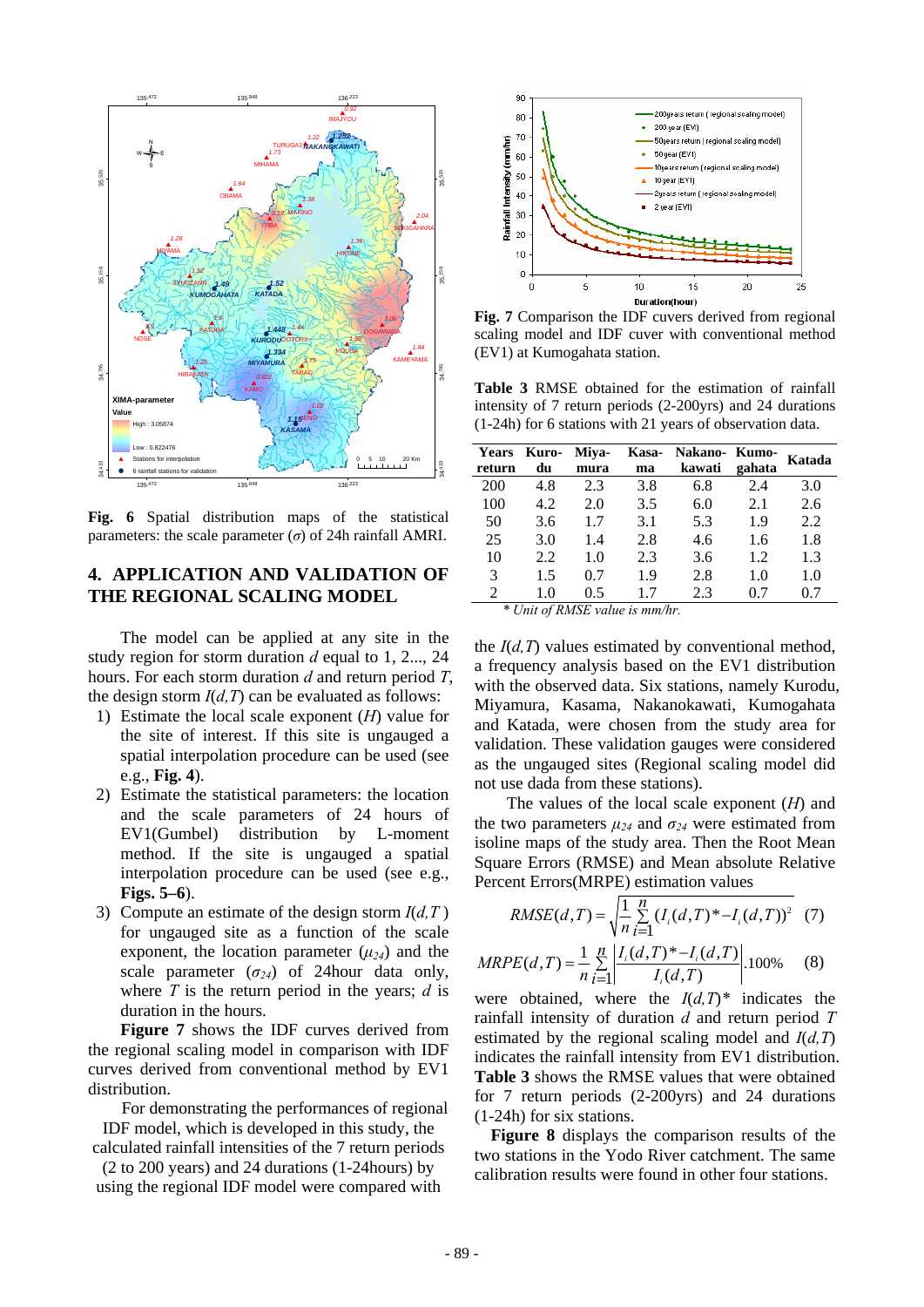

**Fig. 6** Spatial distribution maps of the statistical parameters: the scale parameter  $(\sigma)$  of 24h rainfall AMRI.

## **4. APPLICATION AND VALIDATION OF THE REGIONAL SCALING MODEL**

The model can be applied at any site in the study region for storm duration *d* equal to 1, 2..., 24 hours. For each storm duration *d* and return period *T*, the design storm  $I(d, T)$  can be evaluated as follows:

- 1) Estimate the local scale exponent (*H*) value for the site of interest. If this site is ungauged a spatial interpolation procedure can be used (see e.g., **Fig. 4**).
- 2) Estimate the statistical parameters: the location and the scale parameters of 24 hours of EV1(Gumbel) distribution by L-moment method. If the site is ungauged a spatial interpolation procedure can be used (see e.g., **Figs. 5–6**).
- 3) Compute an estimate of the design storm  $I(d, T)$ for ungauged site as a function of the scale exponent, the location parameter  $(\mu_{24})$  and the scale parameter  $(\sigma_{24})$  of 24hour data only, where *T* is the return period in the years; *d* is duration in the hours.

**Figure 7** shows the IDF curves derived from the regional scaling model in comparison with IDF curves derived from conventional method by EV1 distribution.

For demonstrating the performances of regional IDF model, which is developed in this study, the

calculated rainfall intensities of the 7 return periods (2 to 200 years) and 24 durations (1-24hours) by

using the regional IDF model were compared with



**Fig. 7** Comparison the IDF cuvers derived from regional scaling model and IDF cuver with conventional method (EV1) at Kumogahata station.

**Table 3** RMSE obtained for the estimation of rainfall intensity of 7 return periods (2-200yrs) and 24 durations (1-24h) for 6 stations with 21 years of observation data.

| <b>Years</b><br>return | Kuro-<br>du | Miya-<br>mura | ma  | Kasa- Nakano- Kumo-<br>kawati | gahata | Katada |
|------------------------|-------------|---------------|-----|-------------------------------|--------|--------|
| 200                    | 4.8         | 2.3           | 3.8 | 6.8                           | 2.4    | 3.0    |
| 100                    | 4.2         | 2.0           | 3.5 | 6.0                           | 2.1    | 2.6    |
| 50                     | 3.6         | 1.7           | 3.1 | 5.3                           | 1.9    | 2.2    |
| 25                     | 3.0         | 1.4           | 2.8 | 4.6                           | 1.6    | 1.8    |
| 10                     | 2.2         | 1.0           | 2.3 | 3.6                           | 1.2    | 1.3    |
| 3                      | 1.5         | 0.7           | 1.9 | 2.8                           | 1.0    | 1.0    |
| $\mathfrak{D}$         | 1.0         | 0.5           | 17  | 2.3                           | 07     | 07     |

*\* Unit of RMSE value is mm/hr.* 

the  $I(d, T)$  values estimated by conventional method, a frequency analysis based on the EV1 distribution with the observed data. Six stations, namely Kurodu, Miyamura, Kasama, Nakanokawati, Kumogahata and Katada, were chosen from the study area for validation. These validation gauges were considered as the ungauged sites (Regional scaling model did not use dada from these stations).

The values of the local scale exponent (*H*) and the two parameters  $\mu_{24}$  and  $\sigma_{24}$  were estimated from isoline maps of the study area. Then the Root Mean Square Errors (RMSE) and Mean absolute Relative Percent Errors(MRPE) estimation values

RMSE(d, T) = 
$$
\sqrt{\frac{1}{n} \sum_{i=1}^{n} (I_i(d, T)^* - I_i(d, T))^2}
$$
 (7)

$$
MRPE(d, T) = \frac{1}{n} \sum_{i=1}^{n} \left| \frac{I_i(d, T)^* - I_i(d, T)}{I_i(d, T)} \right| 100\% \tag{8}
$$

were obtained, where the  $I(d,T)^*$  indicates the rainfall intensity of duration *d* and return period *T* estimated by the regional scaling model and *I*(*d,T*) indicates the rainfall intensity from EV1 distribution. **Table 3** shows the RMSE values that were obtained for 7 return periods (2-200yrs) and 24 durations (1-24h) for six stations.

**Figure 8** displays the comparison results of the two stations in the Yodo River catchment. The same calibration results were found in other four stations.